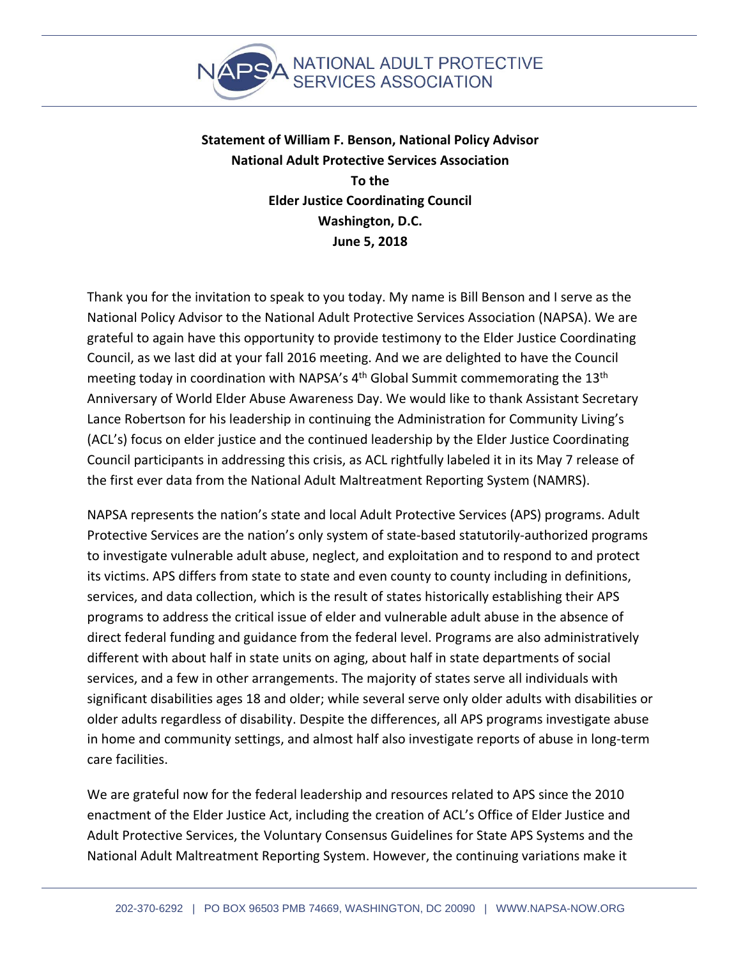

**Statement of William F. Benson, National Policy Advisor National Adult Protective Services Association To the Elder Justice Coordinating Council Washington, D.C. June 5, 2018**

Thank you for the invitation to speak to you today. My name is Bill Benson and I serve as the National Policy Advisor to the National Adult Protective Services Association (NAPSA). We are grateful to again have this opportunity to provide testimony to the Elder Justice Coordinating Council, as we last did at your fall 2016 meeting. And we are delighted to have the Council meeting today in coordination with NAPSA's 4<sup>th</sup> Global Summit commemorating the 13<sup>th</sup> Anniversary of World Elder Abuse Awareness Day. We would like to thank Assistant Secretary Lance Robertson for his leadership in continuing the Administration for Community Living's (ACL's) focus on elder justice and the continued leadership by the Elder Justice Coordinating Council participants in addressing this crisis, as ACL rightfully labeled it in its May 7 release of the first ever data from the National Adult Maltreatment Reporting System (NAMRS).

NAPSA represents the nation's state and local Adult Protective Services (APS) programs. Adult Protective Services are the nation's only system of state-based statutorily-authorized programs to investigate vulnerable adult abuse, neglect, and exploitation and to respond to and protect its victims. APS differs from state to state and even county to county including in definitions, services, and data collection, which is the result of states historically establishing their APS programs to address the critical issue of elder and vulnerable adult abuse in the absence of direct federal funding and guidance from the federal level. Programs are also administratively different with about half in state units on aging, about half in state departments of social services, and a few in other arrangements. The majority of states serve all individuals with significant disabilities ages 18 and older; while several serve only older adults with disabilities or older adults regardless of disability. Despite the differences, all APS programs investigate abuse in home and community settings, and almost half also investigate reports of abuse in long-term care facilities.

We are grateful now for the federal leadership and resources related to APS since the 2010 enactment of the Elder Justice Act, including the creation of ACL's Office of Elder Justice and Adult Protective Services, the Voluntary Consensus Guidelines for State APS Systems and the National Adult Maltreatment Reporting System. However, the continuing variations make it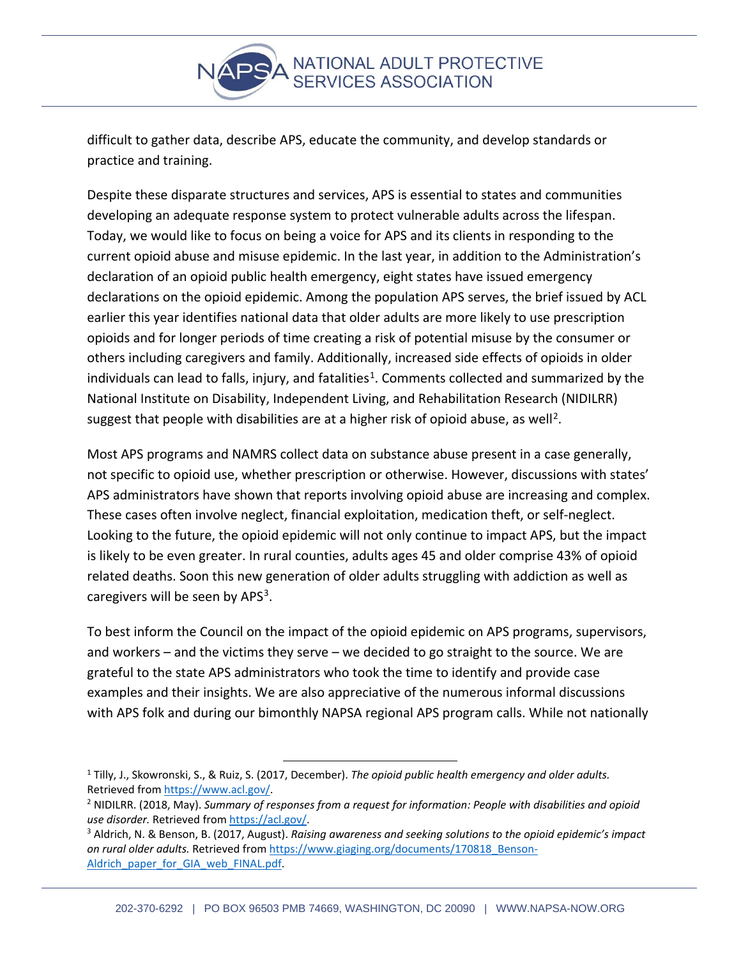

difficult to gather data, describe APS, educate the community, and develop standards or practice and training.

Despite these disparate structures and services, APS is essential to states and communities developing an adequate response system to protect vulnerable adults across the lifespan. Today, we would like to focus on being a voice for APS and its clients in responding to the current opioid abuse and misuse epidemic. In the last year, in addition to the Administration's declaration of an opioid public health emergency, eight states have issued emergency declarations on the opioid epidemic. Among the population APS serves, the brief issued by ACL earlier this year identifies national data that older adults are more likely to use prescription opioids and for longer periods of time creating a risk of potential misuse by the consumer or others including caregivers and family. Additionally, increased side effects of opioids in older individuals can lead to falls, injury, and fatalities<sup>1</sup>. Comments collected and summarized by the National Institute on Disability, Independent Living, and Rehabilitation Research (NIDILRR) suggest that people with disabilities are at a higher risk of opioid abuse, as well<sup>[2](#page-1-1)</sup>.

Most APS programs and NAMRS collect data on substance abuse present in a case generally, not specific to opioid use, whether prescription or otherwise. However, discussions with states' APS administrators have shown that reports involving opioid abuse are increasing and complex. These cases often involve neglect, financial exploitation, medication theft, or self-neglect. Looking to the future, the opioid epidemic will not only continue to impact APS, but the impact is likely to be even greater. In rural counties, adults ages 45 and older comprise 43% of opioid related deaths. Soon this new generation of older adults struggling with addiction as well as caregivers will be seen by APS<sup>[3](#page-1-2)</sup>.

To best inform the Council on the impact of the opioid epidemic on APS programs, supervisors, and workers – and the victims they serve – we decided to go straight to the source. We are grateful to the state APS administrators who took the time to identify and provide case examples and their insights. We are also appreciative of the numerous informal discussions with APS folk and during our bimonthly NAPSA regional APS program calls. While not nationally

<span id="page-1-0"></span> <sup>1</sup> Tilly, J., Skowronski, S., & Ruiz, S. (2017, December). *The opioid public health emergency and older adults.*  Retrieved from https://www.acl.gov/.<br><sup>2</sup> NIDILRR. (2018, May). Summary of responses from a request for information: People with disabilities and opioid

<span id="page-1-1"></span>*use disorder.* Retrieved from <u>https://acl.gov/</u>.<br><sup>3</sup> Aldrich, N. & Benson, B. (2017, August). *Raising awareness and seeking solutions to the opioid epidemic's impact* 

<span id="page-1-2"></span>on rural older adults. Retrieved fro[m https://www.giaging.org/documents/170818\\_Benson-](https://www.giaging.org/documents/170818_Benson-Aldrich_paper_for_GIA_web_FINAL.pdf)[Aldrich\\_paper\\_for\\_GIA\\_web\\_FINAL.pdf.](https://www.giaging.org/documents/170818_Benson-Aldrich_paper_for_GIA_web_FINAL.pdf)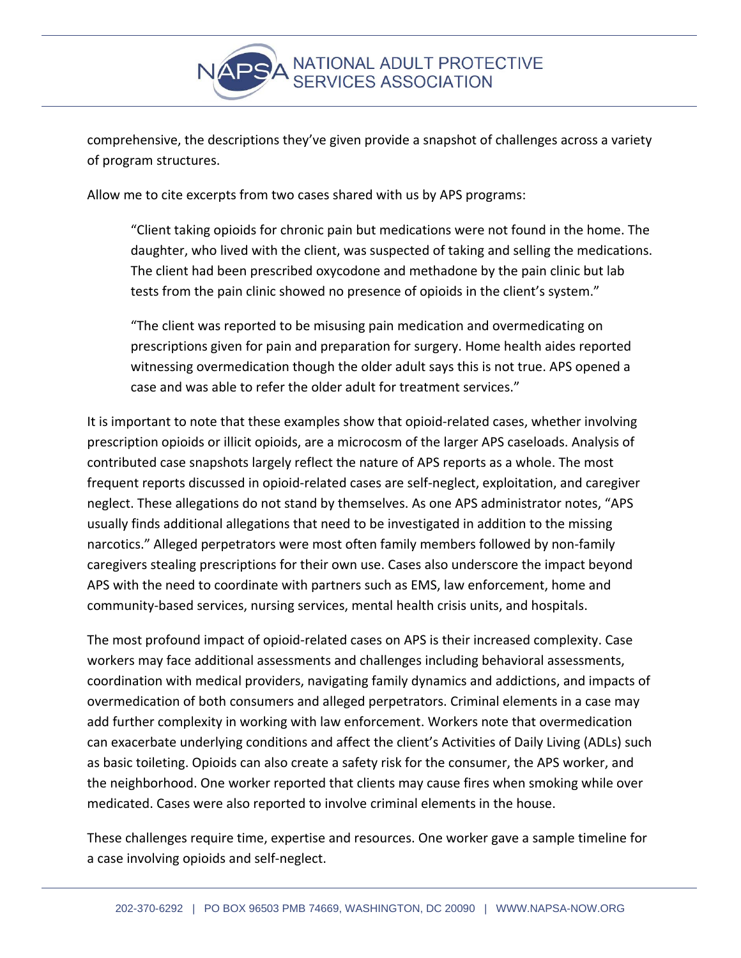

comprehensive, the descriptions they've given provide a snapshot of challenges across a variety of program structures.

Allow me to cite excerpts from two cases shared with us by APS programs:

"Client taking opioids for chronic pain but medications were not found in the home. The daughter, who lived with the client, was suspected of taking and selling the medications. The client had been prescribed oxycodone and methadone by the pain clinic but lab tests from the pain clinic showed no presence of opioids in the client's system."

"The client was reported to be misusing pain medication and overmedicating on prescriptions given for pain and preparation for surgery. Home health aides reported witnessing overmedication though the older adult says this is not true. APS opened a case and was able to refer the older adult for treatment services."

It is important to note that these examples show that opioid-related cases, whether involving prescription opioids or illicit opioids, are a microcosm of the larger APS caseloads. Analysis of contributed case snapshots largely reflect the nature of APS reports as a whole. The most frequent reports discussed in opioid-related cases are self-neglect, exploitation, and caregiver neglect. These allegations do not stand by themselves. As one APS administrator notes, "APS usually finds additional allegations that need to be investigated in addition to the missing narcotics." Alleged perpetrators were most often family members followed by non-family caregivers stealing prescriptions for their own use. Cases also underscore the impact beyond APS with the need to coordinate with partners such as EMS, law enforcement, home and community-based services, nursing services, mental health crisis units, and hospitals.

The most profound impact of opioid-related cases on APS is their increased complexity. Case workers may face additional assessments and challenges including behavioral assessments, coordination with medical providers, navigating family dynamics and addictions, and impacts of overmedication of both consumers and alleged perpetrators. Criminal elements in a case may add further complexity in working with law enforcement. Workers note that overmedication can exacerbate underlying conditions and affect the client's Activities of Daily Living (ADLs) such as basic toileting. Opioids can also create a safety risk for the consumer, the APS worker, and the neighborhood. One worker reported that clients may cause fires when smoking while over medicated. Cases were also reported to involve criminal elements in the house.

These challenges require time, expertise and resources. One worker gave a sample timeline for a case involving opioids and self-neglect.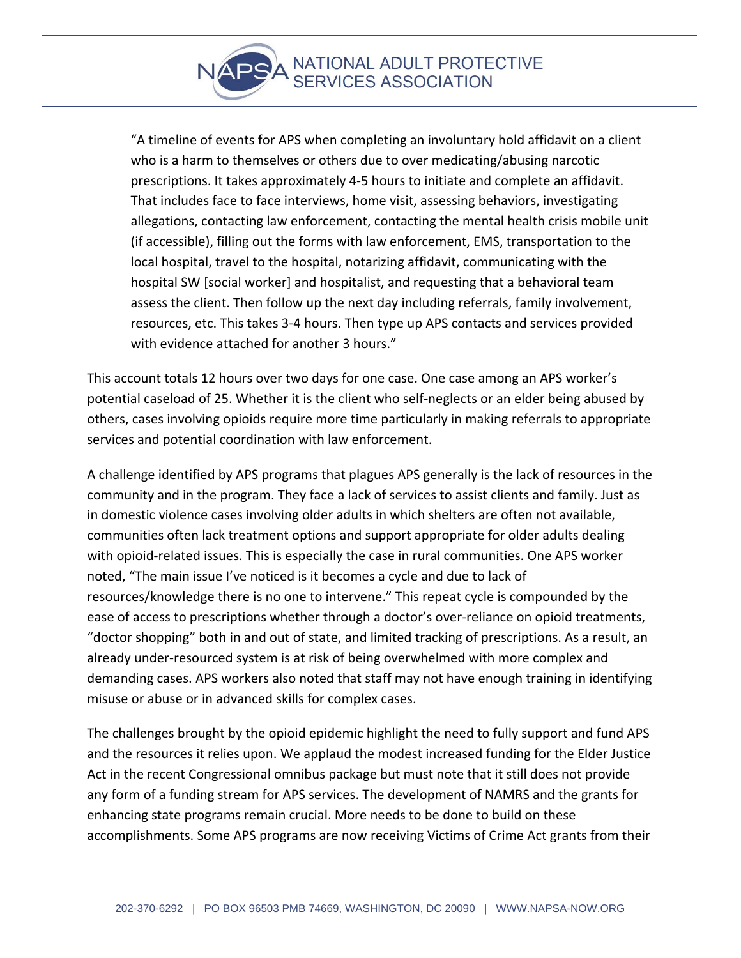"A timeline of events for APS when completing an involuntary hold affidavit on a client who is a harm to themselves or others due to over medicating/abusing narcotic prescriptions. It takes approximately 4-5 hours to initiate and complete an affidavit. That includes face to face interviews, home visit, assessing behaviors, investigating allegations, contacting law enforcement, contacting the mental health crisis mobile unit (if accessible), filling out the forms with law enforcement, EMS, transportation to the local hospital, travel to the hospital, notarizing affidavit, communicating with the hospital SW [social worker] and hospitalist, and requesting that a behavioral team assess the client. Then follow up the next day including referrals, family involvement, resources, etc. This takes 3-4 hours. Then type up APS contacts and services provided with evidence attached for another 3 hours."

This account totals 12 hours over two days for one case. One case among an APS worker's potential caseload of 25. Whether it is the client who self-neglects or an elder being abused by others, cases involving opioids require more time particularly in making referrals to appropriate services and potential coordination with law enforcement.

A challenge identified by APS programs that plagues APS generally is the lack of resources in the community and in the program. They face a lack of services to assist clients and family. Just as in domestic violence cases involving older adults in which shelters are often not available, communities often lack treatment options and support appropriate for older adults dealing with opioid-related issues. This is especially the case in rural communities. One APS worker noted, "The main issue I've noticed is it becomes a cycle and due to lack of resources/knowledge there is no one to intervene." This repeat cycle is compounded by the ease of access to prescriptions whether through a doctor's over-reliance on opioid treatments, "doctor shopping" both in and out of state, and limited tracking of prescriptions. As a result, an already under-resourced system is at risk of being overwhelmed with more complex and demanding cases. APS workers also noted that staff may not have enough training in identifying misuse or abuse or in advanced skills for complex cases.

The challenges brought by the opioid epidemic highlight the need to fully support and fund APS and the resources it relies upon. We applaud the modest increased funding for the Elder Justice Act in the recent Congressional omnibus package but must note that it still does not provide any form of a funding stream for APS services. The development of NAMRS and the grants for enhancing state programs remain crucial. More needs to be done to build on these accomplishments. Some APS programs are now receiving Victims of Crime Act grants from their